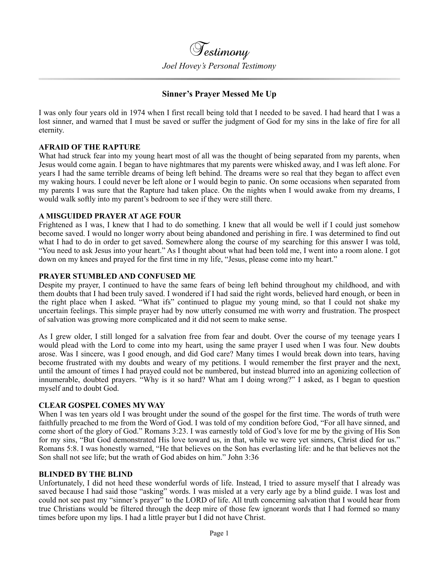# **Sinner's Prayer Messed Me Up**

I was only four years old in 1974 when I first recall being told that I needed to be saved. I had heard that I was a lost sinner, and warned that I must be saved or suffer the judgment of God for my sins in the lake of fire for all eternity.

## **AFRAID OF THE RAPTURE**

What had struck fear into my young heart most of all was the thought of being separated from my parents, when Jesus would come again. I began to have nightmares that my parents were whisked away, and I was left alone. For years I had the same terrible dreams of being left behind. The dreams were so real that they began to affect even my waking hours. I could never be left alone or I would begin to panic. On some occasions when separated from my parents I was sure that the Rapture had taken place. On the nights when I would awake from my dreams, I would walk softly into my parent's bedroom to see if they were still there.

## **A MISGUIDED PRAYER AT AGE FOUR**

Frightened as I was, I knew that I had to do something. I knew that all would be well if I could just somehow become saved. I would no longer worry about being abandoned and perishing in fire. I was determined to find out what I had to do in order to get saved. Somewhere along the course of my searching for this answer I was told, "You need to ask Jesus into your heart." As I thought about what had been told me, I went into a room alone. I got down on my knees and prayed for the first time in my life, "Jesus, please come into my heart."

## **PRAYER STUMBLED AND CONFUSED ME**

Despite my prayer, I continued to have the same fears of being left behind throughout my childhood, and with them doubts that I had been truly saved. I wondered if I had said the right words, believed hard enough, or been in the right place when I asked. "What ifs" continued to plague my young mind, so that I could not shake my uncertain feelings. This simple prayer had by now utterly consumed me with worry and frustration. The prospect of salvation was growing more complicated and it did not seem to make sense.

As I grew older, I still longed for a salvation free from fear and doubt. Over the course of my teenage years I would plead with the Lord to come into my heart, using the same prayer I used when I was four. New doubts arose. Was I sincere, was I good enough, and did God care? Many times I would break down into tears, having become frustrated with my doubts and weary of my petitions. I would remember the first prayer and the next, until the amount of times I had prayed could not be numbered, but instead blurred into an agonizing collection of innumerable, doubted prayers. "Why is it so hard? What am I doing wrong?" I asked, as I began to question myself and to doubt God.

## **CLEAR GOSPEL COMES MY WAY**

When I was ten years old I was brought under the sound of the gospel for the first time. The words of truth were faithfully preached to me from the Word of God. I was told of my condition before God, "For all have sinned, and come short of the glory of God." Romans 3:23. I was earnestly told of God's love for me by the giving of His Son for my sins, "But God demonstrated His love toward us, in that, while we were yet sinners, Christ died for us." Romans 5:8. I was honestly warned, "He that believes on the Son has everlasting life: and he that believes not the Son shall not see life; but the wrath of God abides on him." John 3:36

## **BLINDED BY THE BLIND**

Unfortunately, I did not heed these wonderful words of life. Instead, I tried to assure myself that I already was saved because I had said those "asking" words. I was misled at a very early age by a blind guide. I was lost and could not see past my "sinner's prayer" to the LORD of life. All truth concerning salvation that I would hear from true Christians would be filtered through the deep mire of those few ignorant words that I had formed so many times before upon my lips. I had a little prayer but I did not have Christ.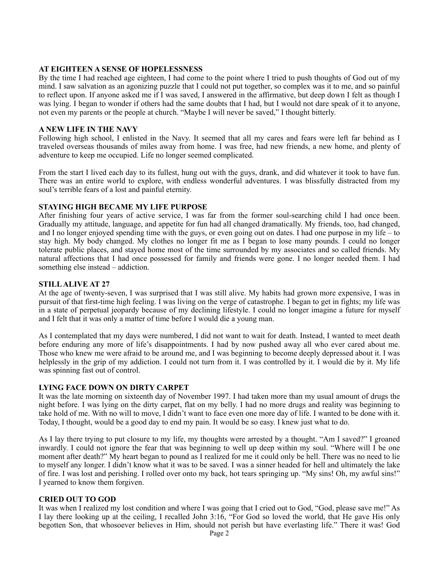## **AT EIGHTEEN A SENSE OF HOPELESSNESS**

By the time I had reached age eighteen, I had come to the point where I tried to push thoughts of God out of my mind. I saw salvation as an agonizing puzzle that I could not put together, so complex was it to me, and so painful to reflect upon. If anyone asked me if I was saved, I answered in the affirmative, but deep down I felt as though I was lying. I began to wonder if others had the same doubts that I had, but I would not dare speak of it to anyone, not even my parents or the people at church. "Maybe I will never be saved," I thought bitterly.

## **A NEW LIFE IN THE NAVY**

Following high school, I enlisted in the Navy. It seemed that all my cares and fears were left far behind as I traveled overseas thousands of miles away from home. I was free, had new friends, a new home, and plenty of adventure to keep me occupied. Life no longer seemed complicated.

From the start I lived each day to its fullest, hung out with the guys, drank, and did whatever it took to have fun. There was an entire world to explore, with endless wonderful adventures. I was blissfully distracted from my soul's terrible fears of a lost and painful eternity.

# **STAYING HIGH BECAME MY LIFE PURPOSE**

After finishing four years of active service, I was far from the former soul-searching child I had once been. Gradually my attitude, language, and appetite for fun had all changed dramatically. My friends, too, had changed, and I no longer enjoyed spending time with the guys, or even going out on dates. I had one purpose in my life – to stay high. My body changed. My clothes no longer fit me as I began to lose many pounds. I could no longer tolerate public places, and stayed home most of the time surrounded by my associates and so called friends. My natural affections that I had once possessed for family and friends were gone. I no longer needed them. I had something else instead – addiction.

## **STILL ALIVE AT 27**

At the age of twenty-seven, I was surprised that I was still alive. My habits had grown more expensive, I was in pursuit of that first-time high feeling. I was living on the verge of catastrophe. I began to get in fights; my life was in a state of perpetual jeopardy because of my declining lifestyle. I could no longer imagine a future for myself and I felt that it was only a matter of time before I would die a young man.

As I contemplated that my days were numbered, I did not want to wait for death. Instead, I wanted to meet death before enduring any more of life's disappointments. I had by now pushed away all who ever cared about me. Those who knew me were afraid to be around me, and I was beginning to become deeply depressed about it. I was helplessly in the grip of my addiction. I could not turn from it. I was controlled by it. I would die by it. My life was spinning fast out of control.

## **LYING FACE DOWN ON DIRTY CARPET**

It was the late morning on sixteenth day of November 1997. I had taken more than my usual amount of drugs the night before. I was lying on the dirty carpet, flat on my belly. I had no more drugs and reality was beginning to take hold of me. With no will to move, I didn't want to face even one more day of life. I wanted to be done with it. Today, I thought, would be a good day to end my pain. It would be so easy. I knew just what to do.

As I lay there trying to put closure to my life, my thoughts were arrested by a thought. "Am I saved?" I groaned inwardly. I could not ignore the fear that was beginning to well up deep within my soul. "Where will I be one moment after death?" My heart began to pound as I realized for me it could only be hell. There was no need to lie to myself any longer. I didn't know what it was to be saved. I was a sinner headed for hell and ultimately the lake of fire. I was lost and perishing. I rolled over onto my back, hot tears springing up. "My sins! Oh, my awful sins!" I yearned to know them forgiven.

## **CRIED OUT TO GOD**

It was when I realized my lost condition and where I was going that I cried out to God, "God, please save me!" As I lay there looking up at the ceiling, I recalled John 3:16, "For God so loved the world, that He gave His only begotten Son, that whosoever believes in Him, should not perish but have everlasting life." There it was! God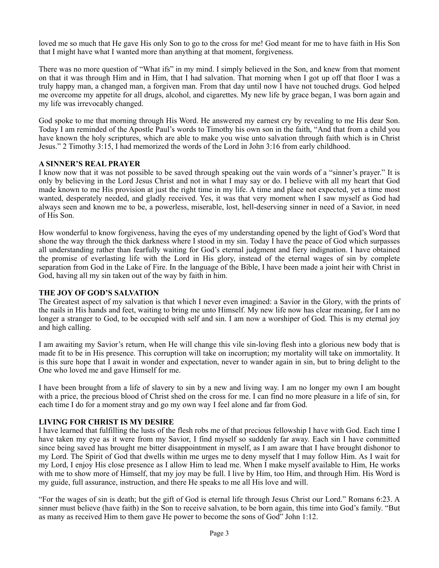loved me so much that He gave His only Son to go to the cross for me! God meant for me to have faith in His Son that I might have what I wanted more than anything at that moment, forgiveness.

There was no more question of "What ifs" in my mind. I simply believed in the Son, and knew from that moment on that it was through Him and in Him, that I had salvation. That morning when I got up off that floor I was a truly happy man, a changed man, a forgiven man. From that day until now I have not touched drugs. God helped me overcome my appetite for all drugs, alcohol, and cigarettes. My new life by grace began, I was born again and my life was irrevocably changed.

God spoke to me that morning through His Word. He answered my earnest cry by revealing to me His dear Son. Today I am reminded of the Apostle Paul's words to Timothy his own son in the faith, "And that from a child you have known the holy scriptures, which are able to make you wise unto salvation through faith which is in Christ Jesus." 2 Timothy 3:15, I had memorized the words of the Lord in John 3:16 from early childhood.

## **A SINNER'S REAL PRAYER**

I know now that it was not possible to be saved through speaking out the vain words of a "sinner's prayer." It is only by believing in the Lord Jesus Christ and not in what I may say or do. I believe with all my heart that God made known to me His provision at just the right time in my life. A time and place not expected, yet a time most wanted, desperately needed, and gladly received. Yes, it was that very moment when I saw myself as God had always seen and known me to be, a powerless, miserable, lost, hell-deserving sinner in need of a Savior, in need of His Son.

How wonderful to know forgiveness, having the eyes of my understanding opened by the light of God's Word that shone the way through the thick darkness where I stood in my sin. Today I have the peace of God which surpasses all understanding rather than fearfully waiting for God's eternal judgment and fiery indignation. I have obtained the promise of everlasting life with the Lord in His glory, instead of the eternal wages of sin by complete separation from God in the Lake of Fire. In the language of the Bible, I have been made a joint heir with Christ in God, having all my sin taken out of the way by faith in him.

## **THE JOY OF GOD'S SALVATION**

The Greatest aspect of my salvation is that which I never even imagined: a Savior in the Glory, with the prints of the nails in His hands and feet, waiting to bring me unto Himself. My new life now has clear meaning, for I am no longer a stranger to God, to be occupied with self and sin. I am now a worshiper of God. This is my eternal joy and high calling.

I am awaiting my Savior's return, when He will change this vile sin-loving flesh into a glorious new body that is made fit to be in His presence. This corruption will take on incorruption; my mortality will take on immortality. It is this sure hope that I await in wonder and expectation, never to wander again in sin, but to bring delight to the One who loved me and gave Himself for me.

I have been brought from a life of slavery to sin by a new and living way. I am no longer my own I am bought with a price, the precious blood of Christ shed on the cross for me. I can find no more pleasure in a life of sin, for each time I do for a moment stray and go my own way I feel alone and far from God.

## **LIVING FOR CHRIST IS MY DESIRE**

I have learned that fulfilling the lusts of the flesh robs me of that precious fellowship I have with God. Each time I have taken my eye as it were from my Savior, I find myself so suddenly far away. Each sin I have committed since being saved has brought me bitter disappointment in myself, as I am aware that I have brought dishonor to my Lord. The Spirit of God that dwells within me urges me to deny myself that I may follow Him. As I wait for my Lord, I enjoy His close presence as I allow Him to lead me. When I make myself available to Him, He works with me to show more of Himself, that my joy may be full. I live by Him, too Him, and through Him. His Word is my guide, full assurance, instruction, and there He speaks to me all His love and will.

"For the wages of sin is death; but the gift of God is eternal life through Jesus Christ our Lord." Romans 6:23. A sinner must believe (have faith) in the Son to receive salvation, to be born again, this time into God's family. "But as many as received Him to them gave He power to become the sons of God" John 1:12.